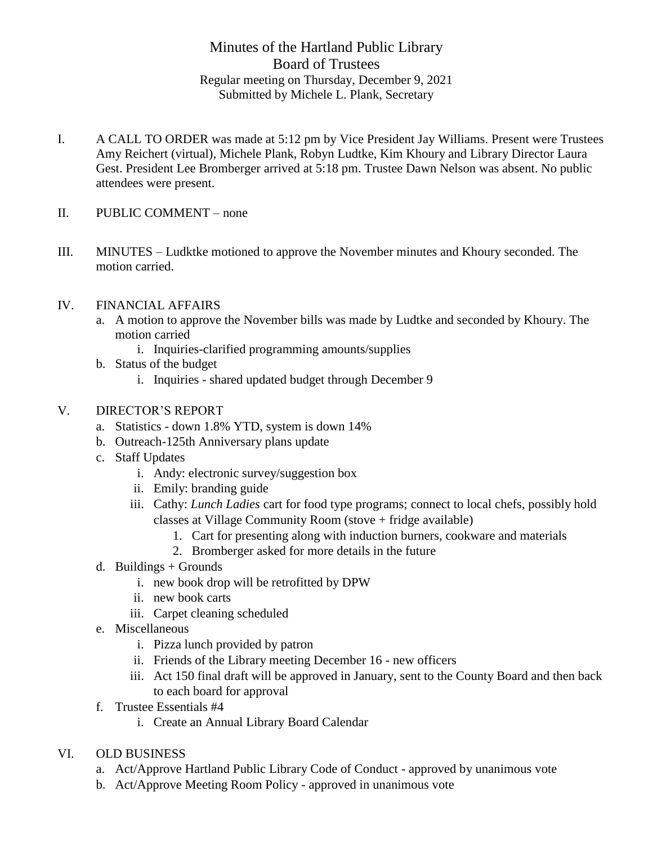## Minutes of the Hartland Public Library Board of Trustees Regular meeting on Thursday, December 9, 2021 Submitted by Michele L. Plank, Secretary

- I. A CALL TO ORDER was made at 5:12 pm by Vice President Jay Williams. Present were Trustees Amy Reichert (virtual), Michele Plank, Robyn Ludtke, Kim Khoury and Library Director Laura Gest. President Lee Bromberger arrived at 5:18 pm. Trustee Dawn Nelson was absent. No public attendees were present.
- II. PUBLIC COMMENT none
- III. MINUTES Ludktke motioned to approve the November minutes and Khoury seconded. The motion carried.

## IV. FINANCIAL AFFAIRS

- a. A motion to approve the November bills was made by Ludtke and seconded by Khoury. The motion carried
	- i. Inquiries-clarified programming amounts/supplies
- b. Status of the budget
	- i. Inquiries shared updated budget through December 9

## V. DIRECTOR'S REPORT

- a. Statistics down 1.8% YTD, system is down 14%
- b. Outreach-125th Anniversary plans update
- c. Staff Updates
	- i. Andy: electronic survey/suggestion box
	- ii. Emily: branding guide
	- iii. Cathy: *Lunch Ladies* cart for food type programs; connect to local chefs, possibly hold classes at Village Community Room (stove + fridge available)
		- 1. Cart for presenting along with induction burners, cookware and materials
		- 2. Bromberger asked for more details in the future
- $d.$  Buildings + Grounds
	- i. new book drop will be retrofitted by DPW
	- ii. new book carts
	- iii. Carpet cleaning scheduled
- e. Miscellaneous
	- i. Pizza lunch provided by patron
	- ii. Friends of the Library meeting December 16 new officers
	- iii. Act 150 final draft will be approved in January, sent to the County Board and then back to each board for approval
- f. Trustee Essentials #4
	- i. Create an Annual Library Board Calendar
- VI. OLD BUSINESS
	- a. Act/Approve Hartland Public Library Code of Conduct approved by unanimous vote
	- b. Act/Approve Meeting Room Policy approved in unanimous vote